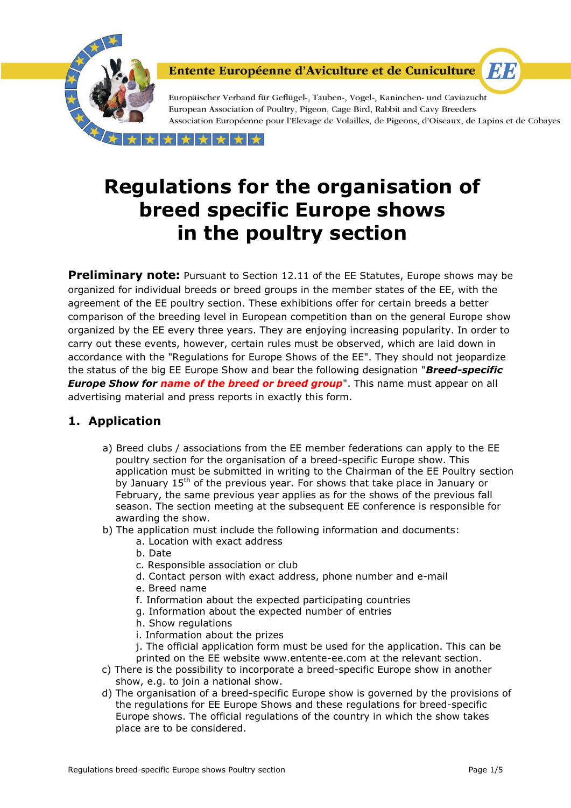

Europäischer Verband für Geflügel-, Tauben-, Vogel-, Kaninchen- und Caviazucht European Association of Poultry, Pigeon, Cage Bird, Rabbit and Cavy Breeders Association Européenne pour l'Elevage de Volailles, de Pigeons, d'Oiseaux, de Lapins et de Cobayes

**ET E** 

 $\rightarrow$ 

# **Regulations for the organisation of breed specific Europe shows in the poultry section**

**Preliminary note:** Pursuant to Section 12.11 of the EE Statutes, Europe shows may be organized for individual breeds or breed groups in the member states of the EE, with the agreement of the EE poultry section. These exhibitions offer for certain breeds a better comparison of the breeding level in European competition than on the general Europe show organized by the EE every three years. They are enjoying increasing popularity. In order to carry out these events, however, certain rules must be observed, which are laid down in accordance with the "Regulations for Europe Shows of the EE". They should not jeopardize the status of the big EE Europe Show and bear the following designation "*Breed-specific Europe Show for name of the breed or breed group***".** This name must appear on all advertising material and press reports in exactly this form.

# **1. Application**

- a) Breed clubs / associations from the EE member federations can apply to the EE poultry section for the organisation of a breed-specific Europe show. This application must be submitted in writing to the Chairman of the EE Poultry section by January 15<sup>th</sup> of the previous year. For shows that take place in January or February, the same previous year applies as for the shows of the previous fall season. The section meeting at the subsequent EE conference is responsible for awarding the show.
- b) The application must include the following information and documents:
	- a. Location with exact address
	- b. Date
	- c. Responsible association or club
	- d. Contact person with exact address, phone number and e-mail
	- e. Breed name
	- f. Information about the expected participating countries
	- g. Information about the expected number of entries
	- h. Show regulations
	- i. Information about the prizes
	- j. The official application form must be used for the application. This can be
	- printed on the EE website www.entente-ee.com at the relevant section.
- c) There is the possibility to incorporate a breed-specific Europe show in another show, e.g. to join a national show.
- d) The organisation of a breed-specific Europe show is governed by the provisions of the regulations for EE Europe Shows and these regulations for breed-specific Europe shows. The official regulations of the country in which the show takes place are to be considered.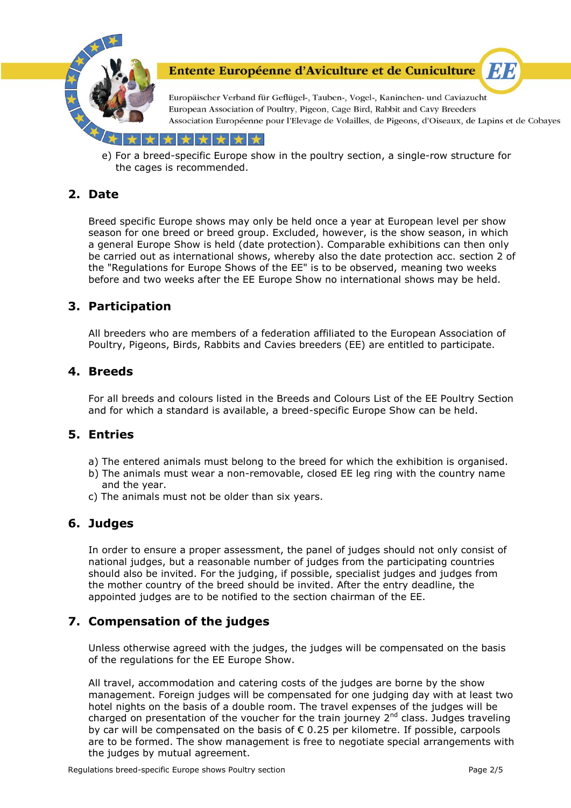

Europäischer Verband für Geflügel-, Tauben-, Vogel-, Kaninchen- und Caviazucht European Association of Poultry, Pigeon, Cage Bird, Rabbit and Cavy Breeders Association Européenne pour l'Elevage de Volailles, de Pigeons, d'Oiseaux, de Lapins et de Cobayes

EI B

\*\*\*

e) For a breed-specific Europe show in the poultry section, a single-row structure for the cages is recommended.

# **2. Date**

Breed specific Europe shows may only be held once a year at European level per show season for one breed or breed group. Excluded, however, is the show season, in which a general Europe Show is held (date protection). Comparable exhibitions can then only be carried out as international shows, whereby also the date protection acc. section 2 of the "Regulations for Europe Shows of the EE" is to be observed, meaning two weeks before and two weeks after the EE Europe Show no international shows may be held.

#### **3. Participation**

All breeders who are members of a federation affiliated to the European Association of Poultry, Pigeons, Birds, Rabbits and Cavies breeders (EE) are entitled to participate.

#### **4. Breeds**

For all breeds and colours listed in the Breeds and Colours List of the EE Poultry Section and for which a standard is available, a breed-specific Europe Show can be held.

#### **5. Entries**

- a) The entered animals must belong to the breed for which the exhibition is organised.
- b) The animals must wear a non-removable, closed EE leg ring with the country name and the year.
- c) The animals must not be older than six years.

#### **6. Judges**

In order to ensure a proper assessment, the panel of judges should not only consist of national judges, but a reasonable number of judges from the participating countries should also be invited. For the judging, if possible, specialist judges and judges from the mother country of the breed should be invited. After the entry deadline, the appointed judges are to be notified to the section chairman of the EE.

## **7. Compensation of the judges**

Unless otherwise agreed with the judges, the judges will be compensated on the basis of the regulations for the EE Europe Show.

All travel, accommodation and catering costs of the judges are borne by the show management. Foreign judges will be compensated for one judging day with at least two hotel nights on the basis of a double room. The travel expenses of the judges will be charged on presentation of the voucher for the train journey  $2^{nd}$  class. Judges traveling by car will be compensated on the basis of  $\epsilon$  0.25 per kilometre. If possible, carpools are to be formed. The show management is free to negotiate special arrangements with the judges by mutual agreement.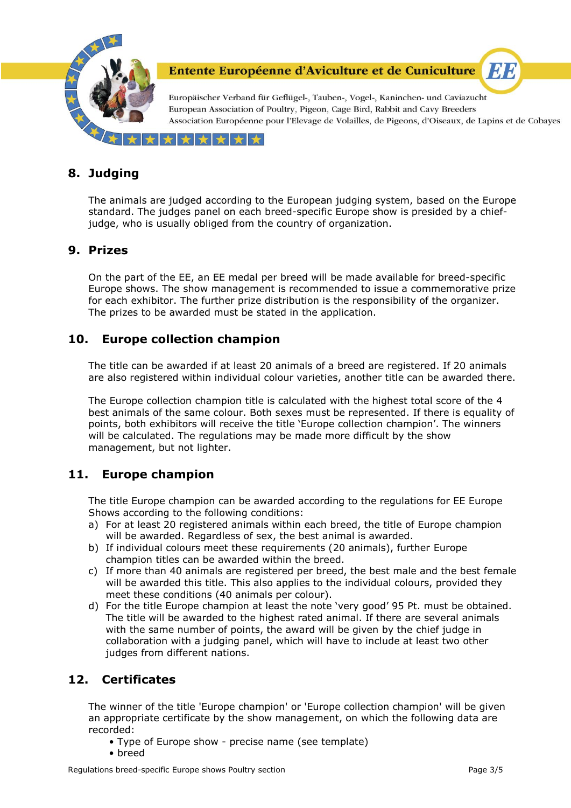

Europäischer Verband für Geflügel-, Tauben-, Vogel-, Kaninchen- und Caviazucht European Association of Poultry, Pigeon, Cage Bird, Rabbit and Cavy Breeders Association Européenne pour l'Elevage de Volailles, de Pigeons, d'Oiseaux, de Lapins et de Cobayes

EI B

\*\*\*\*  $\leftarrow$ 

# **8. Judging**

The animals are judged according to the European judging system, based on the Europe standard. The judges panel on each breed-specific Europe show is presided by a chiefjudge, who is usually obliged from the country of organization.

#### **9. Prizes**

On the part of the EE, an EE medal per breed will be made available for breed-specific Europe shows. The show management is recommended to issue a commemorative prize for each exhibitor. The further prize distribution is the responsibility of the organizer. The prizes to be awarded must be stated in the application.

#### **10. Europe collection champion**

The title can be awarded if at least 20 animals of a breed are registered. If 20 animals are also registered within individual colour varieties, another title can be awarded there.

The Europe collection champion title is calculated with the highest total score of the 4 best animals of the same colour. Both sexes must be represented. If there is equality of points, both exhibitors will receive the title 'Europe collection champion'. The winners will be calculated. The regulations may be made more difficult by the show management, but not lighter.

## **11. Europe champion**

The title Europe champion can be awarded according to the regulations for EE Europe Shows according to the following conditions:

- a) For at least 20 registered animals within each breed, the title of Europe champion will be awarded. Regardless of sex, the best animal is awarded.
- b) If individual colours meet these requirements (20 animals), further Europe champion titles can be awarded within the breed.
- c) If more than 40 animals are registered per breed, the best male and the best female will be awarded this title. This also applies to the individual colours, provided they meet these conditions (40 animals per colour).
- d) For the title Europe champion at least the note 'very good' 95 Pt. must be obtained. The title will be awarded to the highest rated animal. If there are several animals with the same number of points, the award will be given by the chief judge in collaboration with a judging panel, which will have to include at least two other judges from different nations.

## **12. Certificates**

The winner of the title 'Europe champion' or 'Europe collection champion' will be given an appropriate certificate by the show management, on which the following data are recorded:

- Type of Europe show precise name (see template)
- breed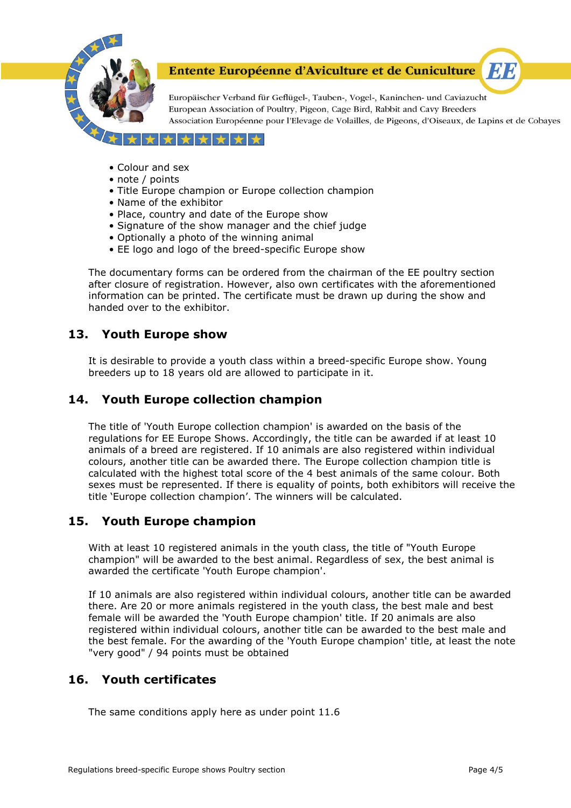

Europäischer Verband für Geflügel-, Tauben-, Vogel-, Kaninchen- und Caviazucht European Association of Poultry, Pigeon, Cage Bird, Rabbit and Cavy Breeders Association Européenne pour l'Elevage de Volailles, de Pigeons, d'Oiseaux, de Lapins et de Cobayes

EA F

#### $+ +$ ┻  $\leftarrow$

- Colour and sex
- note / points
- Title Europe champion or Europe collection champion
- Name of the exhibitor
- Place, country and date of the Europe show
- Signature of the show manager and the chief judge
- Optionally a photo of the winning animal
- EE logo and logo of the breed-specific Europe show

The documentary forms can be ordered from the chairman of the EE poultry section after closure of registration. However, also own certificates with the aforementioned information can be printed. The certificate must be drawn up during the show and handed over to the exhibitor.

## **13. Youth Europe show**

It is desirable to provide a youth class within a breed-specific Europe show. Young breeders up to 18 years old are allowed to participate in it.

#### **14. Youth Europe collection champion**

The title of 'Youth Europe collection champion' is awarded on the basis of the regulations for EE Europe Shows. Accordingly, the title can be awarded if at least 10 animals of a breed are registered. If 10 animals are also registered within individual colours, another title can be awarded there. The Europe collection champion title is calculated with the highest total score of the 4 best animals of the same colour. Both sexes must be represented. If there is equality of points, both exhibitors will receive the title 'Europe collection champion'. The winners will be calculated.

#### **15. Youth Europe champion**

With at least 10 registered animals in the youth class, the title of "Youth Europe champion" will be awarded to the best animal. Regardless of sex, the best animal is awarded the certificate 'Youth Europe champion'.

If 10 animals are also registered within individual colours, another title can be awarded there. Are 20 or more animals registered in the youth class, the best male and best female will be awarded the 'Youth Europe champion' title. If 20 animals are also registered within individual colours, another title can be awarded to the best male and the best female. For the awarding of the 'Youth Europe champion' title, at least the note "very good" / 94 points must be obtained

## **16. Youth certificates**

The same conditions apply here as under point 11.6